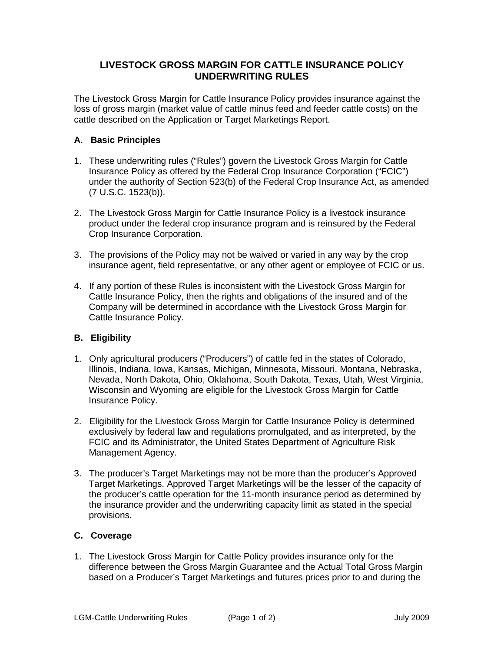## **LIVESTOCK GROSS MARGIN FOR CATTLE INSURANCE POLICY UNDERWRITING RULES**

The Livestock Gross Margin for Cattle Insurance Policy provides insurance against the loss of gross margin (market value of cattle minus feed and feeder cattle costs) on the cattle described on the Application or Target Marketings Report.

## **A. Basic Principles**

- 1. These underwriting rules ("Rules") govern the Livestock Gross Margin for Cattle Insurance Policy as offered by the Federal Crop Insurance Corporation ("FCIC") under the authority of Section 523(b) of the Federal Crop Insurance Act, as amended (7 U.S.C. 1523(b)).
- 2. The Livestock Gross Margin for Cattle Insurance Policy is a livestock insurance product under the federal crop insurance program and is reinsured by the Federal Crop Insurance Corporation.
- 3. The provisions of the Policy may not be waived or varied in any way by the crop insurance agent, field representative, or any other agent or employee of FCIC or us.
- 4. If any portion of these Rules is inconsistent with the Livestock Gross Margin for Cattle Insurance Policy, then the rights and obligations of the insured and of the Company will be determined in accordance with the Livestock Gross Margin for Cattle Insurance Policy.

## **B. Eligibility**

- 1. Only agricultural producers ("Producers") of cattle fed in the states of Colorado, Illinois, Indiana, Iowa, Kansas, Michigan, Minnesota, Missouri, Montana, Nebraska, Nevada, North Dakota, Ohio, Oklahoma, South Dakota, Texas, Utah, West Virginia, Wisconsin and Wyoming are eligible for the Livestock Gross Margin for Cattle Insurance Policy.
- 2. Eligibility for the Livestock Gross Margin for Cattle Insurance Policy is determined exclusively by federal law and regulations promulgated, and as interpreted, by the FCIC and its Administrator, the United States Department of Agriculture Risk Management Agency.
- 3. The producer's Target Marketings may not be more than the producer's Approved Target Marketings. Approved Target Marketings will be the lesser of the capacity of the producer's cattle operation for the 11-month insurance period as determined by the insurance provider and the underwriting capacity limit as stated in the special provisions.

## **C. Coverage**

1. The Livestock Gross Margin for Cattle Policy provides insurance only for the difference between the Gross Margin Guarantee and the Actual Total Gross Margin based on a Producer's Target Marketings and futures prices prior to and during the